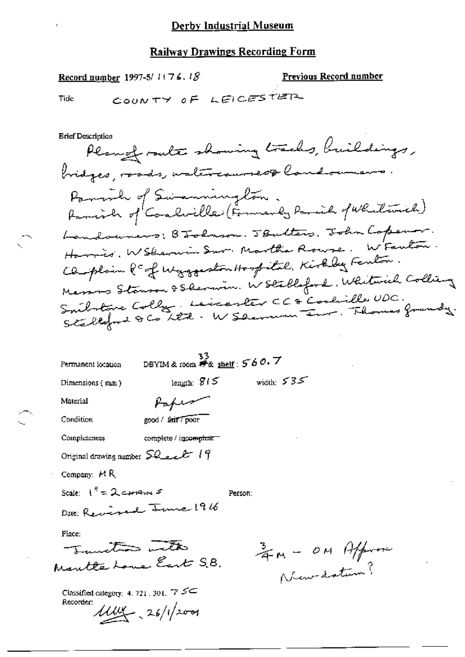#### **Railway Drawings Recording Form**

Record number 1997-5/1176.18

Previous Record number

Tide

COUNTY OF LEICESTER

**Brief Description** Plangt route showing tracks, buildings, bridges, roads, waltercaurseof landowners Parroich of Swamnington.<br>Parrich of Caralville (Formerly Parril of Whitewich) Landouners; BJohnson. JBulters, John Copenar. Harris, W Shannin Sur. Martha Rouse. W Feuton. Cleoplain & of Wyggeston Hospital, Kirkby Fenton. Messons Stanson & Sherwin. W Stallaford, Whitaich Colling Smilatoire Colly, Leicenter CC à Coolville UDC.<br>Stallefort & Co LET : W Sherman Inr. Thomas franchy.

| Permanent location                                                    | 33<br>DBYIM & room $\mathscr{H}_{\& \text{ shelf}}$ : 560.7 |         |                  |  |
|-----------------------------------------------------------------------|-------------------------------------------------------------|---------|------------------|--|
| Dimensions (mm)                                                       | length: $815$                                               |         | width: $535$     |  |
| Material                                                              | Kafeer                                                      |         |                  |  |
| Condition                                                             | good / fair / poor                                          |         |                  |  |
| Completeness                                                          | complete / incomplete                                       |         |                  |  |
| Original drawing number $50$ act 19                                   |                                                             |         |                  |  |
| Company: $M R$                                                        |                                                             |         |                  |  |
| Scale: $1'' = 2$ carrain 5                                            |                                                             | Person: |                  |  |
| Date: Reversed June 1916                                              |                                                             |         |                  |  |
| Place:                                                                |                                                             |         |                  |  |
| Tunto with                                                            |                                                             |         |                  |  |
| Mautte Loue East S.B.                                                 |                                                             |         | ZM - OM Affronce |  |
| Classified category: 4, 721, 301, $\frac{7}{2}$ $\leq$<br>Recorder: I |                                                             |         |                  |  |

 $1100 - 26/12001$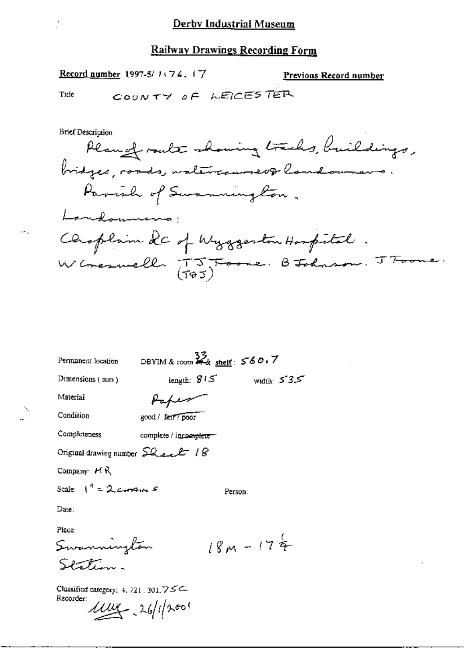Record number 1997-5/1176.17

**Previous Record number** 

 $\sim$ 

 $\sim$ 

Tide

L.

Ĭ,

COUNTY OF LEICESTER

**Brief Description** 

| Permanent location                                   | DBYIM & room $\frac{33}{42}$ shelf: 560.7 |             |              |
|------------------------------------------------------|-------------------------------------------|-------------|--------------|
| Dimensions (mm)                                      | length: $815$                             |             | width: $535$ |
| Material                                             | raper                                     |             |              |
| Condition                                            | good / fair / poor                        |             |              |
| Completeness                                         | complete / incoe <del>ndiete</del>        |             |              |
| Original drawing number $SL_{2n}L$ 18                |                                           |             |              |
| Company $H R$                                        |                                           |             |              |
| Scale: $1^{n} = 2$ corrent $s$                       |                                           | Person:     |              |
| Date:                                                |                                           |             |              |
| Place:                                               |                                           |             |              |
| Summington                                           |                                           | $18M - 174$ |              |
| فبستوسية مساك                                        |                                           |             |              |
| Classified category: 4, 721, 301, $75C$<br>Recorder: |                                           |             |              |
|                                                      | $1004 - 26/12001$                         |             |              |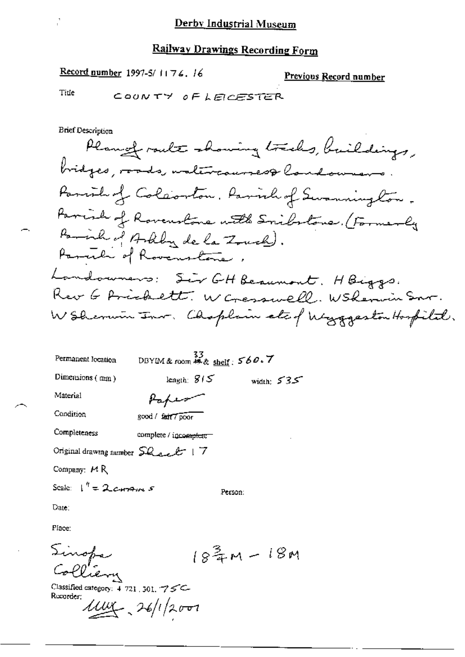**Record number 1997-5/1176.16** 

Previous Record number

Tide

COUNTY OF LEICESTER

**Brief Description** 

Plange route showing tracks, buildings, bridges, roads, untercourses& londowners. Parish of Coleonton. Parish of Swanning ton. Parish of Rovenstone with Smilatone. (Formerly Pariah of Arkly de la Zouch). Parcile of Rovenstone. Landowners: Sir GH Beaumont. HBiggs. Rev 6 Ariskett. W Cresswell. WSRennin Snr. W Shermin Inr. Choplain etc of Wyggeston Hospital.

| Permanent location                              | DBYIM & room $\overset{33}{\ast}$ & shelf: $560.7$ |                            |
|-------------------------------------------------|----------------------------------------------------|----------------------------|
| Dimensions $(mn)$                               | length: $815$                                      | width: $535$               |
| Material                                        | rap                                                |                            |
| Condition                                       | good / fair 7 poor                                 |                            |
| Completeness                                    | complete / incomplete =                            |                            |
| Original drawing number $SQ_{\text{start}}$   7 |                                                    |                            |
| Company: MR                                     |                                                    |                            |
| Scale: $\int_0^{\eta}$ = 2 corrent s            | Person:                                            |                            |
| Date:                                           |                                                    |                            |
| Place:                                          |                                                    |                            |
|                                                 |                                                    | $18\frac{3}{4}$ M – $18$ M |
| Sinopa                                          |                                                    |                            |

Classified category: 4 721 .301. 75C-Recorder:

 $1100 - 26/12001$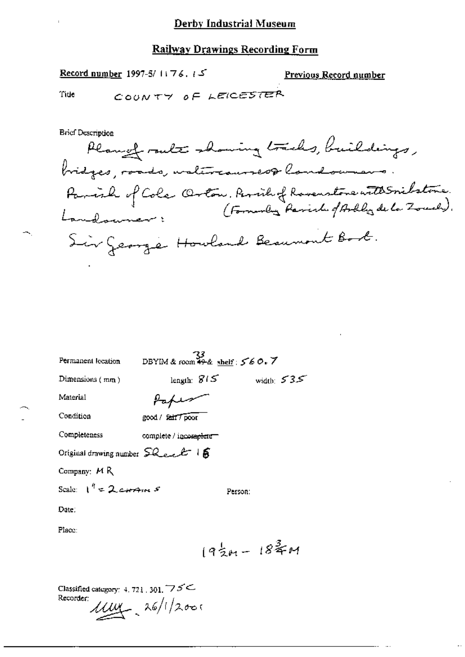#### **Railway Drawings Recording Form**

ك : Record number 1997-5/1176.

<u>Previous Record number</u>

Tide

COUNTY OF LEICESTER

**Brief Description** Plangt route showing tracks, buildings, bridges, roads, watercourses& londowners. Parish of Cole Orton, Perile of Rovenstone with Smilstone.<br>Landouner: (Formuly Parish of Arthlyde Local). Sir George Howland Beaumont Book.

| Permanent location                                                                              |                        | DBYIM & room $\frac{33}{49 \text{·k}}$ shelf: $560.7$ |              |
|-------------------------------------------------------------------------------------------------|------------------------|-------------------------------------------------------|--------------|
| Dimensions (mm)                                                                                 |                        | length: $815$                                         | width: $535$ |
| Material                                                                                        | Paper                  |                                                       |              |
| Condition                                                                                       | good / fair / poor     |                                                       |              |
| Completeness                                                                                    | complete / incomplete- |                                                       |              |
| Original drawing number $\textsf{SQ}_\textit{e-e}\textcolor{red}{\mathscr{L}^-}$   $\textsf{S}$ |                        |                                                       |              |
| Company: MR                                                                                     |                        |                                                       |              |
| Scale: $1^{\frac{p}{2}} = 2$ corpores                                                           |                        | Person:                                               |              |
| Date.                                                                                           |                        |                                                       |              |
| Place:                                                                                          |                        |                                                       |              |
|                                                                                                 |                        | $19\frac{1}{2} + 18\frac{3}{4} +$                     |              |

Classified category: 4, 721 , 301,  $\overline{\mathcal{D}}\mathcal{S}$   $\subseteq$ Recorder:  $1114 - 26/12000$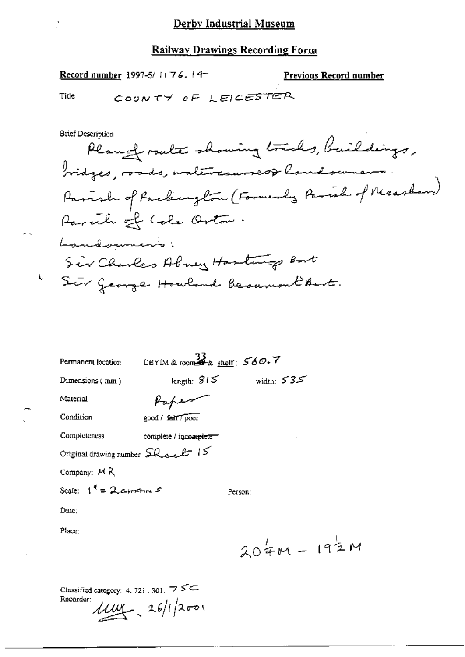Record number 1997-5/1176.14-

Previous Record number

Tide

k.

COUNTY OF LEICESTER

**Brief Description** Plang route showing tracks, buildings, bridges, roads, untercoursest landowners. Parish of Packington (Formerly Parish of Nicaslam) Parcile of Cole Orton. Landowner's: Sir Charles Abrey Hastings Bost Sir George Howland Because Bart.

| Permanent location                              | DBYIM & room $\frac{33}{28}$ shelf: $560.7$ |               |  |
|-------------------------------------------------|---------------------------------------------|---------------|--|
| Dimensions (mm)                                 | length: $$15$                               | width: $535$  |  |
| Material                                        |                                             |               |  |
| Condition                                       | good / fair / poor                          |               |  |
| Completeness                                    | complete / incomplete-                      |               |  |
| Original drawing number $\mathsf{SL}_2$ et $15$ |                                             |               |  |
| Company: $M R$                                  |                                             |               |  |
| Scale: $1^{\ell} = 2$ corrent $s$               |                                             | Person:       |  |
| Date:                                           |                                             |               |  |
| Place:                                          |                                             |               |  |
|                                                 |                                             | $204M - 192M$ |  |
|                                                 |                                             |               |  |
|                                                 |                                             |               |  |

Classified category: 4, 721, 301,  $\overline{7}$   $\leq$ Recorder:  $1100 - 26/12001$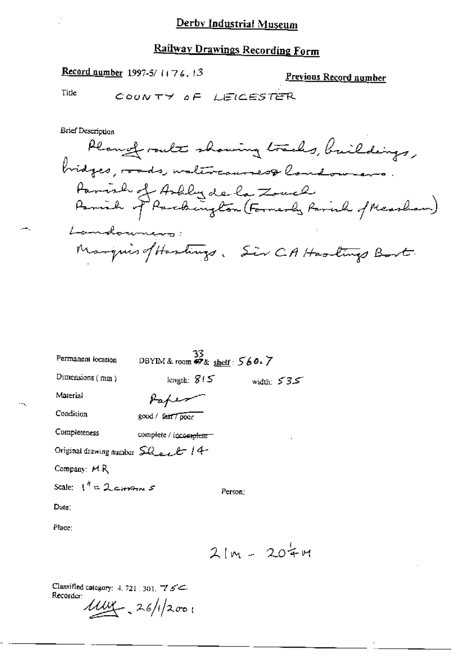## Railway Drawings Recording Form

### Record number 1997-5/1176.13

Previous Record number

Title

COUNTY OF LEICESTER

**Brief Description** Plange route showing tracks, buildings, bridges, roads, untercourses& londownans. Parish of Artily de la Zouch<br>Parish of Parchington (Formerly Parish of Measham) Landowners: ManquisofHastings, Sir CAHastings Bart.

| Permanent location                          | 33<br>DBYIM&room <i>呼</i> & <u>sheif</u> : 560.7 |              |
|---------------------------------------------|--------------------------------------------------|--------------|
| Dimensions (mm)                             | length: $815$                                    | width: $535$ |
| Material                                    |                                                  |              |
| Condition                                   | good / fair / poor                               |              |
| Completeness                                | complete / incomplete =                          |              |
| Original drawing number $\Omega$ and $t$ 14 |                                                  |              |
| Company: HR                                 |                                                  |              |
| Scale: $1^{n} = 2$ comme s                  | Person:                                          |              |
| $\text{Date}$ :                             |                                                  |              |
| Place:                                      |                                                  |              |
|                                             |                                                  | $21m - 204m$ |

Classified category: 4, 721, 301,  $\frac{7}{5}$ Recorder: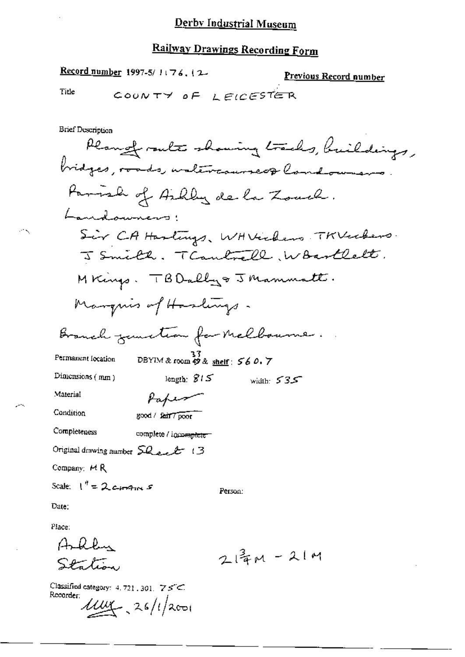### Railway Drawings Recording Form

Record number 1997-5/1176.12 <u>Previous Record number</u> Title COUNTY OF  $I$  FICESTER **Brief Description** Plange route showing tracks, buildings, bridges, roads, waltercourseof landowners. Parish of Ailby de la Zouch. Landowners: Sir CA Hastings, WH Vickens TKVeckers. J Smith. TCantrell, Woortlett. MKings. TBD ally & J Mammatt. Manquis of Haslings. Branch genetia for Melbourne. DBYIM & room  $\mathcal{P}$  & shelf:  $560.7$ Permanent focation Dimensions  $(mm)$ length:  $815$ width:  $535$ Material Paper Condition good / fair / poor Completeness complete / incomplete Original drawing number  $\Omega$  ext  $\mathcal{B}$  13 Company:  $M R$ Scale:  $1^{n}$  = 2 comments Person: Date: Place:  $A, R, P, \ldots$  $214M - 21M$ Station

Classified category: 4, 721, 301,  $75<$ Recorder:  $11/10$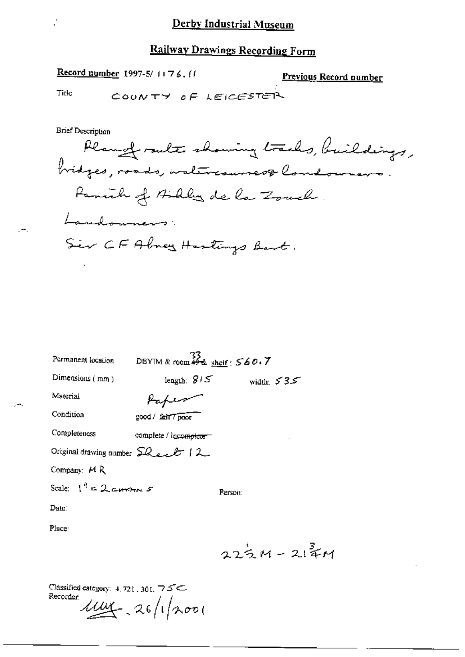Record number 1997-5/1176. (1

Previous Record number

Title

COUNTY OF LEICESTER

**Brief Description** 

Plange route showing tracks, buildings, bridges, roads, watercourses& landowners. Panik of Bibles de la Zouch. Landowners: Sir CF Alney Hestings Bart.

| Permanent location                           | DBYIM & room $\frac{33}{476}$ shelf: $560.7$ |               |              |  |
|----------------------------------------------|----------------------------------------------|---------------|--------------|--|
| Dimensions $(mm)$                            | length: $815$                                |               | width: $535$ |  |
| Маterial                                     |                                              |               |              |  |
| Condition                                    | good / fair 7 poor                           |               |              |  |
| Completeness                                 | complete / incomplete =                      |               |              |  |
| Original drawing number $SL_{\ell+\ell}$   2 |                                              |               |              |  |
| Company: H R                                 |                                              |               |              |  |
| Scale: $1^4 = 2$ current $s$                 |                                              | Person:       |              |  |
| Date                                         |                                              |               |              |  |
| Place:                                       |                                              |               |              |  |
|                                              |                                              | $222M - 214M$ |              |  |

Classified category: 4, 721, 301, 75C-Recorder:  $1144 - 26/12001$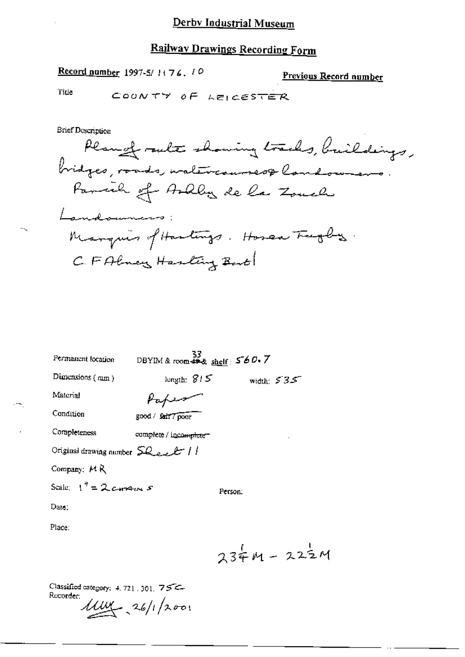## **Railway Drawings Recording Form**

Record number 1997-5/1176, 10

Previous Record number

Title

÷.

COUNTY OF LEICESTER

**Brief Description** 

| Permanent location                         |                        | $\frac{33}{28}$ DBYIM & room $44.8$ shelf: $560.7$ |  |
|--------------------------------------------|------------------------|----------------------------------------------------|--|
| Dimensions (mm)                            | length: $815$          | width: $535$                                       |  |
| Material                                   |                        |                                                    |  |
| Condition                                  | good / Sair 7 poor     |                                                    |  |
| Completeness                               | complete / incomplete= |                                                    |  |
| Original drawing number $SL_{e,e}$ $t$ / / |                        |                                                    |  |
| Company: MR                                |                        |                                                    |  |
| Scale: $1^{\frac{q}{2}} = 2$ carriers 5    |                        | Person:                                            |  |
| Date:                                      |                        |                                                    |  |
| Place:                                     |                        |                                                    |  |
|                                            |                        | $234M - 222M$                                      |  |
|                                            |                        |                                                    |  |

Classified category: 4, 721, 301, 75C-Recorder:

 $11101 - 26/12001$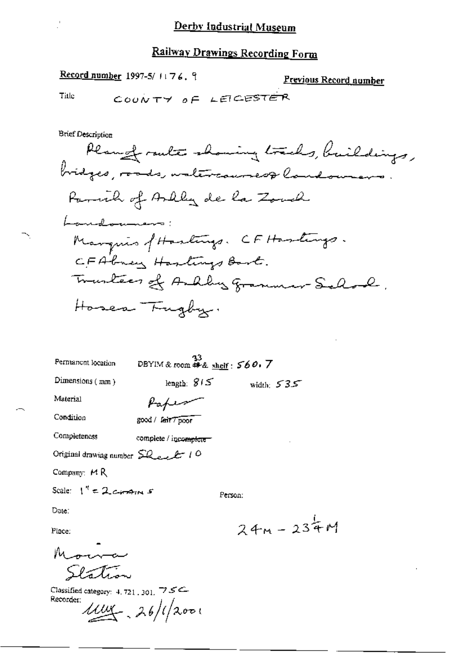Previous Record number

COONTY OF LEIGESTE Title **Brief Description** Plangt rate showing tracks, buildings, bridges, roads, waltercourses & landowners. Parcial of Arlly de la Zond Landouners: Manquis of Hastings. CF Hastings. CFAbrey Hastings Bart. Tranteer of Andby Grammer-Selond. Hosen Trugby. 33<br>DBYIM & room # & sheif:  $560.7$ Permanent location Dimensions  $(mm)$ length:  $815$ width:  $535$ Paper

Material

Condition

Completeness complete / incomplete

good / fair Tpoor

Original drawing number SQ<sub>ee</sub> 2 10

Record number 1997-5/ $1176.9$ 

Company: MR

Scale:  $1'' = 2$  corporal 5

Person:

Date:

Place:

 $M_{\rm max}$ Station

Classified category: 4, 721, 301, 75C Recorder:

 $1114 - 26/12001$ 

 $24M - 234M$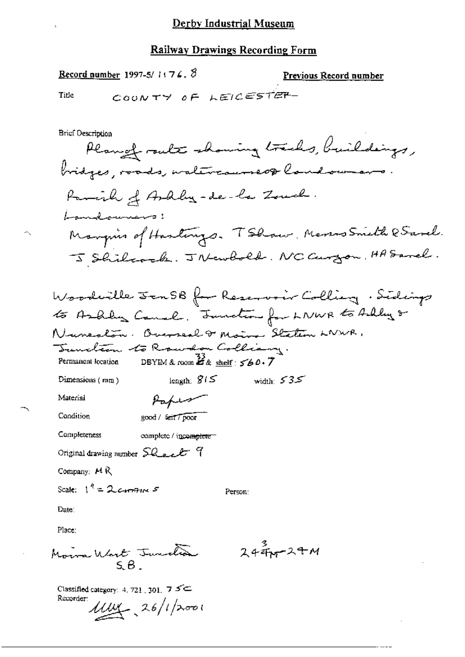Record number 1997-5/1174. 8

Previous Record number

Tide

÷,

COUNTY OF LEICESTER-

**Brief Description** 

width:  $535$ 

Dimensions  $(m\alpha)$ 

Material

Condition

good / fait / poor

Paper

length:  $815$ 

Completeness complete / incomplete

Original drawing number Sheet 9

Company: HR

Scale:  $1^4$  = 2 corrent 5

Person:

Date:

Place:

Moira Wart Junction

 $2447244$ 

Classified category: 4, 721, 301,  $75$ Recorder:  $1114 - 26/12001$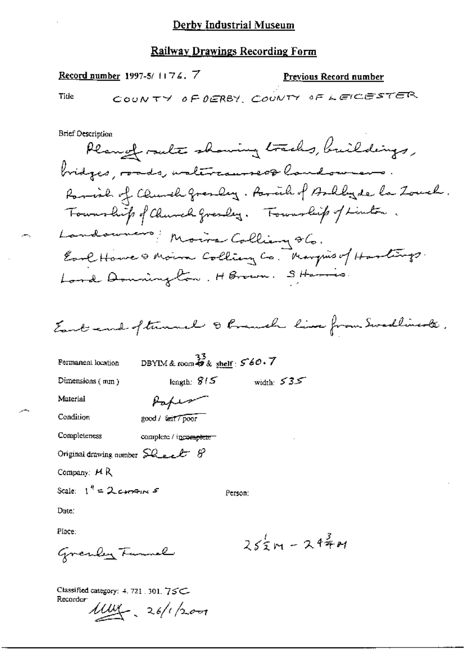#### **Railway Drawings Recording Form**

Record number 1997-5/1176.7

**Previous Record number** 

Title

**Brief Description** 

Plange route showing tracks, buildings, bridges, roads, wal<del>ercauses&</del> landowners. Paraid of Church grandey. Paraih of Andlyde la Zouch. Township of Church Gresley. Township of Linton. Landounces Moire Colliany 86. Earl House & Moin Colliany Co. Margins of Hartings. Lord Donnington, HBrown. Starts.

Eart and oftennal & Pranch live from Swedlings .

| Permanent location                                           | DBYIM & room $\stackrel{33}{\bullet}$ & shelf : $\stackrel{\sim}{\phantom{}56}$ $\stackrel{\sim}{\phantom{}56}$ O. $\stackrel{\sim}{\phantom{}7}$ |              |               |
|--------------------------------------------------------------|---------------------------------------------------------------------------------------------------------------------------------------------------|--------------|---------------|
| Dimensions (mm)                                              | length: $815$                                                                                                                                     | width: $535$ |               |
| Material                                                     |                                                                                                                                                   |              |               |
| Condition                                                    | good / tait / poor                                                                                                                                |              |               |
| Completeness                                                 | complete / incomplete                                                                                                                             |              |               |
| Original drawing number $\mathcal{L}_{\text{best}}$ $\theta$ |                                                                                                                                                   |              |               |
| Company: $H R$                                               |                                                                                                                                                   |              |               |
| Scale: $1^4$ = 2 comments                                    |                                                                                                                                                   | Person:      |               |
| Date.                                                        |                                                                                                                                                   |              |               |
| Place:                                                       |                                                                                                                                                   |              |               |
| $C_{max}$ , $\theta_{max}$ , $\tau_{max}$ , $\theta_{max}$   |                                                                                                                                                   |              | $252m - 244M$ |

Classified category: 4. 721 . 301. 75C-Recorder:

Grenber Fammel

 $100 - 26/1200$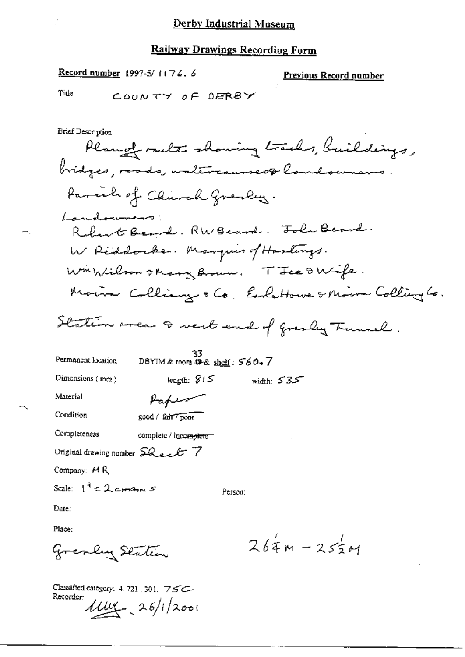Record number 1997-5/1174.6

<u>Previous Record number</u>

Title

**Brief Description** 

Planger route showing tracks, buildings, bridges, roads, waltercourseof landowners. Parcil of Church Greeky. Landowners: Robert Beard. RW Beard. John Beard. W Reddocker. Marquis of Haslangs. WinWilson & Mary Brown. TIER & Wife. Moins Colliany & Co. Exclutions & Moins Colling Co. Station wear I west end of greaty Tunnel. 33<br>DBYIM & room  $\mathcal{P}$ & shelf :  $560$  + 7 Permanent location

width:  $535$ 

Material

Dimensions  $(m\omega)$ 

Condition

good / fair / poor

Paper

length:  $815$ 

Completeness complete / incomplete

Original drawing number Sheet 7

Company: H R

Scale:  $1^4$  = 2 corrent 5

Person:

Date:

Place:

Gresley Station

Classified category: 4. 721, 301,  $75C-$ Recorder:  $1114 - 26/12001$ 

 $264 - 255 +$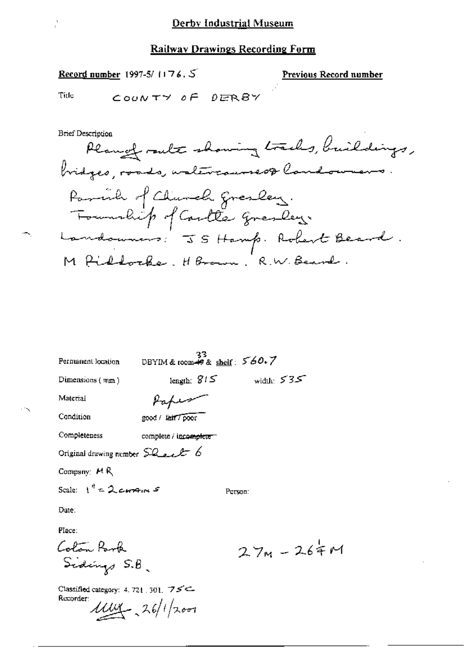Record number 1997-5/1176.5

Previous Record number

Title COUNTY OF DERBY

**Brief Description** 

Plange route showing tracks, buildings, bridges, roads, walercourses& landowners. Parrill of Church gresley. Township of Cartles gresley. Landoumers: JS Hamp. Robert Beard. M Piddocke. HBrown, R.W. Beard.

| Permanent location                                  | 33<br>DBYIM & room $\frac{1}{2}$ & shelf: $560.7$ |              |
|-----------------------------------------------------|---------------------------------------------------|--------------|
| Dimensions $(mn)$                                   | length: $815$                                     | width: $535$ |
| Material                                            | tapes                                             |              |
| Condition                                           | good / lait7poor                                  |              |
| Completeness                                        | complete / incomplete                             |              |
| Original drawing number $\text{SQ}_{\text{self}}$ 6 |                                                   |              |
| Company: $H R$                                      |                                                   |              |
| Scale: $1^{\frac{d}{2}} = 2$ corrent 5              |                                                   | Person:      |
| Date:                                               |                                                   |              |
| Place:                                              |                                                   |              |
| Colon Park                                          |                                                   | $27m - 2$    |
| Sidings S.B.                                        |                                                   |              |

Classified category: 4, 721, 301,  $75$ Recorder:  $11.04 - 26/12001$ 

 $64$  M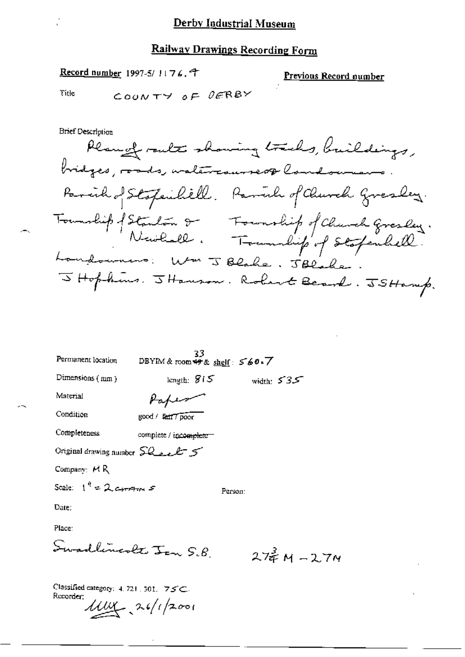## Railway Drawings Recording Form

Record number 1997-5/1176.4

Previous Record number

Tide

**Brief Description** 

| Permanent location                             | 33<br>DBYIM & room $\rightarrow \infty$ shelf: $560.7$ |         |                 |  |
|------------------------------------------------|--------------------------------------------------------|---------|-----------------|--|
| Dimensions (num)                               | length: $815$                                          |         | width: $535$    |  |
| Material                                       |                                                        |         |                 |  |
| Condition                                      | good / fair7 poor                                      |         |                 |  |
| Completeness                                   | complete / incomplete-                                 |         |                 |  |
| Original drawing number $SL_{2}L^{+}$ 5        |                                                        |         |                 |  |
| Company: MR                                    |                                                        |         |                 |  |
| Scale: $1^{\prime\prime} = 2$ corrains $s$     |                                                        | Person: |                 |  |
| Date:                                          |                                                        |         |                 |  |
| Place:                                         |                                                        |         |                 |  |
| Swadlingvolt Jan S.B.                          |                                                        |         | $274$ M $-27$ M |  |
| Classified category: $4.721$ , $301$ , $75C$ . |                                                        |         |                 |  |

Ł

Recorder:  $\mu\mu$ , 26/1/2001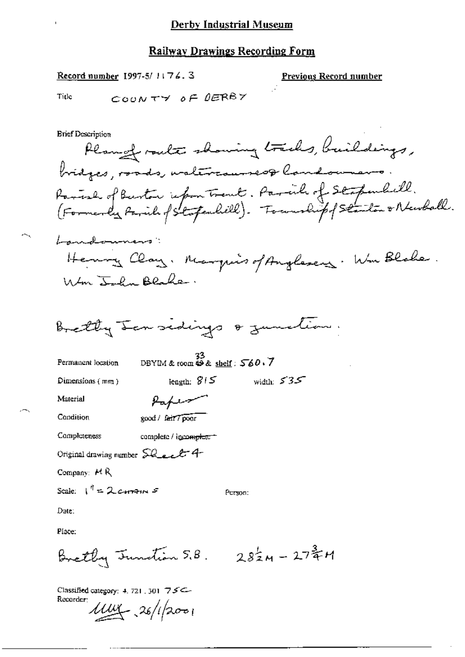#### **Railway Drawings Recording Form**

Record number 1997-5/1176.3

**Previous Record number** 

COUNTY OF DERBY Title

**Brief Description** Plangeralt showing tracks, buildings, bridges, roads, watercourses& landowners Parish of Burton informational . Parish of Stapenhill.<br>(Formerly Parish of Stapenhill). Township of Stanton & Newball. Landonners: Henry Clay. Marquis of Anglesers. We Blake. Wm John Blake. Bretty Lansidings & zumetim. DBYIM & room  $\stackrel{33}{\leftrightarrow}$  shelf:  $\stackrel{56}{\sim} 0.7$ Permanent location width:  $535$ length:  $815$ Dimensions  $\{mn\}$ Material Paper Condition good / fair 7 poor Completeness complete / incomplete = Original drawing number SQ ect 4 Company: HR Scale:  $I^{\dagger} = 2$  corrent  $S$ Person: Date: Place: Brethy Junction  $5.8$ .  $2.8\frac{1}{2}M - 27\frac{3}{4}M$ 

Classified category: 4, 721, 301 75C-Recorder:

 $1114 - 26/12001$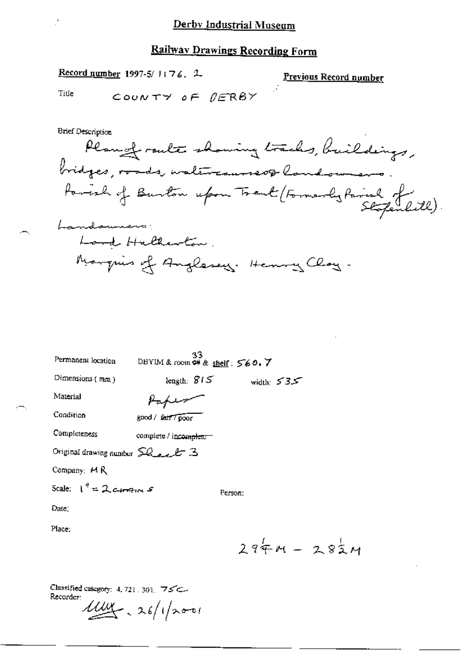Record number 1997-5/1:76. 2

Previous Record number

Title

COUNTY OF  $0$ FRBY

**Brief Description** Plangt route showing tracks, buildings, bridges, roads, waltercourseof land-ownerrages, roads we to the sport trent (Formarly Parish of Lite). Landamens. Lord Hallerton, Marquis of Anglesey. Henry Clay-

33<br>DBYIM & room  $\Leftrightarrow$  & sheif:  $560.7$ Permanent location Dimensions (mm) length:  $815$ width:  $535$ Material سهيلهط Condition good / feir / poor Completeness complete / incomplete-Original drawing number  $\widehat{\leq}Q_{\text{max}}\mathscr{L}$  3 Company: MR

Person;

Scale:  $1^{4}$  = 2 cross  $5$ 

Date:

Place:

 $294M - 282M$ 

Classified category: 4, 721, 301, 75C-Recorder:

 $1/4$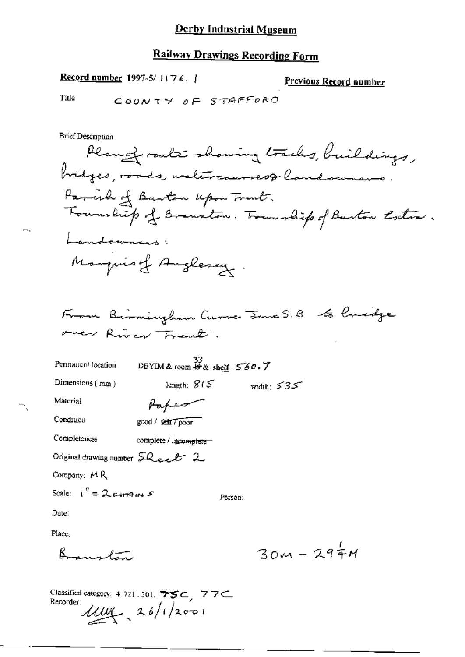### **Railway Drawings Recording Form**

Record number 1997-5/1176. |

Previous Record number

Title

COUNTY OF STAFFORD

**Brief Description** 

Planger route showing tracks, buildings, bridges, roads, waltercourses& landownano. Parcish of Burton upon Trent. Foundity of Brenston. Township of Burton Coston. Landowners: Manquis of Anglesey.

From Birningham Curve Jane S.B to Credge over River Frank.

 $\frac{37}{108}$  DBYIM & room  $\Leftrightarrow$  & shelf : 560.7 Permanent location length:  $815$ 

Dimensions (mm)

width:  $535$ 

Material

Condition

Paper good / fair 7 poor

**Completeness** complete / incomplete

Original drawing number Sheet 2

Company:  $M R$ 

Scale:  $I'' = 2c + 3m + 5$ 

Person:

Date:

Place:

Boundary

 $30M - 294M$ 

Classified category: 4, 721, 301,  $\overrightarrow{TS} \subset$ , 77 $\subset$ Recorder  $\mu$   $\mu$   $\lambda$   $\delta$  / 1/2001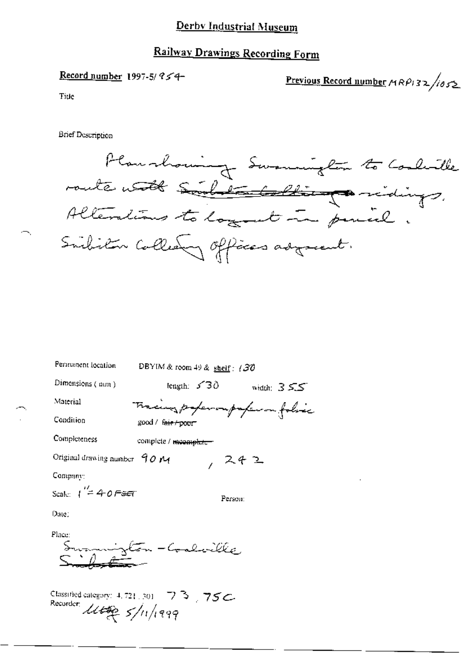## Railway Drawings Recording Form

## Record number 1997-5/954

Previous Record number  $MRPI32/1052$ 

Title

**Brief Description** 

Planshowing Swamights to Coolerlle route with Soul to balling midings. Alterations to logant in penice. Subitor Collection offices adjournt.

| Permanent location                         | DBYIM & room 49 & shelf: $/30$    |                    |
|--------------------------------------------|-----------------------------------|--------------------|
| Dimensions $(mn)$                          | length: $\angle 30$               | width: $355^\circ$ |
| Material                                   | Tracing paper outrafer on folia   |                    |
| Condition                                  | good / f <del>air / poor</del>    |                    |
| Completeness                               | complete / <del>meemplete =</del> |                    |
| Original drawing number $90 M$             | スチユ                               |                    |
| Company:                                   |                                   |                    |
| Scale: $\int^{\prime\prime}=4\cdot 0$ Fest | Person:                           |                    |
| Date:                                      |                                   |                    |
| Place:                                     | n - Coalwille,                    |                    |

Classified category:  $4.721,301 - 73$ , 75C.<br>Recorder:  $\mathcal{U}\mathcal{L}\mathcal{L}\mathcal{L}\mathcal{L}\mathcal{L}$ , 5/11/1999.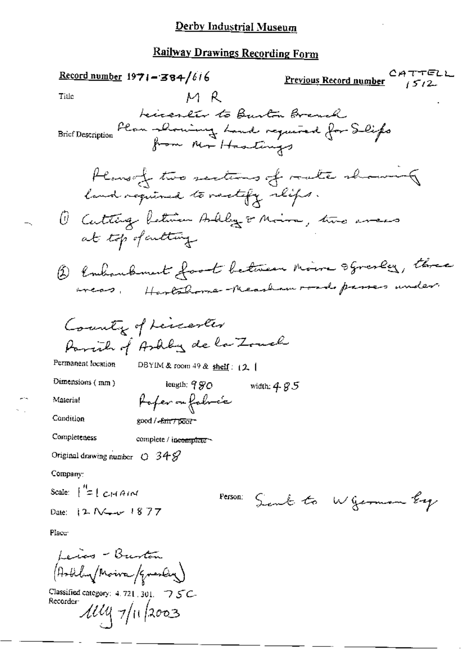**Railway Drawings Recording Form** 

Previous Record number  $CATTELL$ Record number  $1971 - 384/616$  $M$  R Title beicereter to Burton Branch<br>Flon Slowing Land required for Selifs<br>from Mr Hastings Brief Description Plane of two sections of rate showing land required to rectify reifs. 1 Cutting Retirer Aubley or Moira, two areas at top of cultury (b) Conhambonent foot between moore squarey, three wear. Hartshome-Measham roads passes under County of Lincenter Parcial of Ashly de la Zonel Permanent location DBYIM & room 49 & shelf:  $(2, 1)$ Dimensions  $(mn)$ length:  $9\%$ O width:  $4.8.5$ f ofer ou folocée Material Condition good / Eair/ poor Completeness complete / incomplete Original drawing number  $O$  34  $S$ Company: Scale:  $\int_{0}^{R}$  =  $\int_{0}^{R}$  =  $\int_{0}^{R}$  =  $\int_{0}^{R}$  =  $\int_{0}^{R}$  =  $\int_{0}^{R}$  =  $\int_{0}^{R}$  =  $\int_{0}^{R}$  =  $\int_{0}^{R}$  =  $\int_{0}^{R}$  =  $\int_{0}^{R}$  =  $\int_{0}^{R}$  =  $\int_{0}^{R}$  =  $\int_{0}^{R}$  =  $\int_{0}^{R}$  =  $\int_{0}^{R}$  =  $\int_{0}$ Person: Sent to Wgerman Ey Date:  $12 N$   $-4877$ Place<sup>®</sup> Leios - Burton (Arbilin/Moira/Graslin) Classified category: 4, 721, 301,  $\bigtriangledown$   $\mathcal{S}$ C-Recorder:

 $\mathcal{U}\mathcal{U} \mathcal{V}$ 11/2003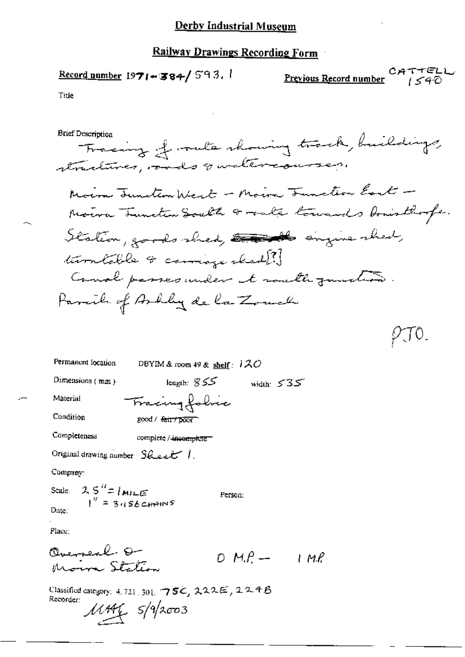$$
\underline{\text{Record number}} 1971 - 384 / 593.
$$

Title

PTO.

Permanent location DBYIM & room 49 & shelf: 120 length:  $855$  width:  $535$ 

Dimensions (mm)

Material

Fracing folice good / fair / poor

complete / incomplete

Original drawing number Sheet 1.

Company:

Condition

Completeness

 $2.5$ <sup>H</sup>=/mile<br> $1^{\prime\prime}$  = 3456 cmains Seale: Person: Date:

Place;

Classified category: 4, 721, 301, 75C, 222E, 224B Recorder:  $11446$   $5/9/2003$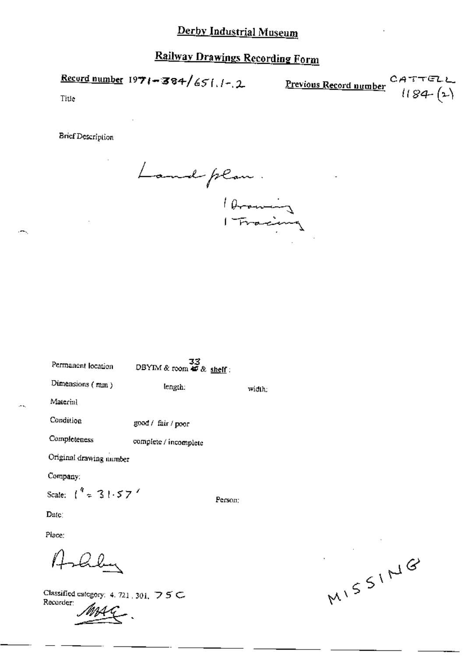Recurd number  $1971 - 384/651.1 - 2$  Previous Record number

CATTELL  $1184 (2)$ 

Title

**Brief Description** 

Landplan. 1 Aroming

| Permanent location                       | 33<br>DBYIM & room $45 \& \text{sheff}$ : |        |
|------------------------------------------|-------------------------------------------|--------|
| Dimensions $(mn)$                        | length:                                   | width; |
| Material                                 |                                           |        |
| Condition                                | good / fair / poor                        |        |
| Completeness                             | complete / incomplete                     |        |
| Original drawing number                  |                                           |        |
| Company:                                 |                                           |        |
| Scale: $\binom{4}{5}$ 31.57 <sup>%</sup> | Person:                                   |        |
| $\mathbf{D}\mathbf{a}(\mathbf{c})$       |                                           |        |
| Place:                                   |                                           |        |
|                                          |                                           |        |

Classified category: 4, 721, 301,  $\supset$  5 C. Recorder:

 $\sqrt{2}$ 

MISSING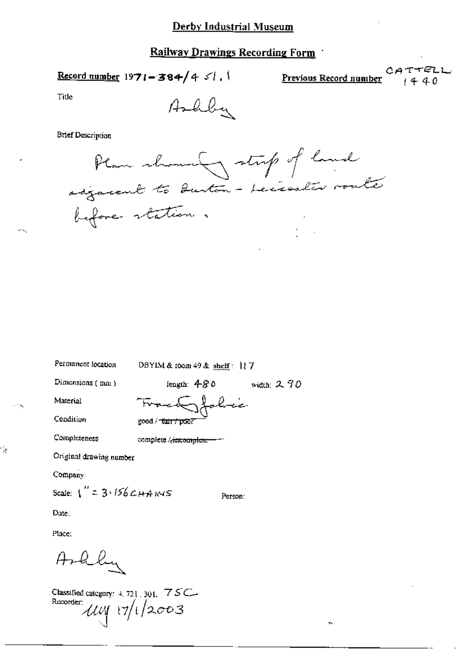Record number 1971-384/4  $51.1$ 

Previous Record number

v.

CATTELL

Title

 $\mathcal{A}$ 

Ashby

**Brief Description** 

Plan shown of strip of land before station.

| Permanent focation                   | DBYIM & room $49$ & shelf: $117$  |               |
|--------------------------------------|-----------------------------------|---------------|
| Dimensions (mm)                      | length: $480$                     | width: $2.70$ |
| Material                             | Sfolice                           |               |
| Condition                            | good / tair/poor                  |               |
| Compicteness                         | complete / <del>/incomplete</del> |               |
| Original drawing number              |                                   |               |
| Company:                             |                                   |               |
| Scale: $1'' = 3.156 \text{ GHz}$ NVS | Person:                           |               |
| Date:                                |                                   |               |
| Place:                               |                                   |               |
|                                      |                                   |               |

Classified category: 4, 721, 301, 75C-Recorder:  $11/12003$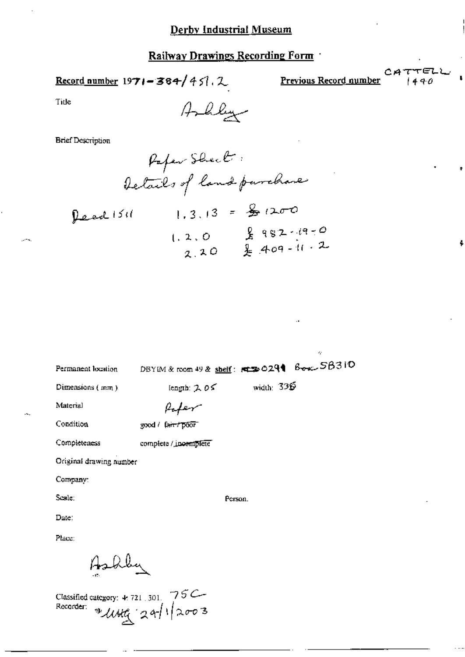Record number 
$$
1971 - 364/451.2
$$

Previous Record number

ķ.

TELL CA.  $440$ 

4

Title

**Brief Description** 

| Permanent location                                                         | DBYIM & room 49 & shelf: 1430291 Box SB310 |              |  |
|----------------------------------------------------------------------------|--------------------------------------------|--------------|--|
| Dimensions (mm)                                                            | length: $2.05$                             | width: $335$ |  |
| Material                                                                   |                                            |              |  |
| Condition                                                                  | good / fair / poor                         |              |  |
| Completeness                                                               | complete / incemplete                      |              |  |
| Original drawing number                                                    |                                            |              |  |
| Company:                                                                   |                                            |              |  |
| Seale:                                                                     |                                            | Person.      |  |
| Date:                                                                      |                                            |              |  |
| Place:                                                                     |                                            |              |  |
|                                                                            |                                            |              |  |
| Classified category: 4.721.301. 75C<br>Recorder: $\sqrt[4]{U/4t}$ 24/12003 |                                            |              |  |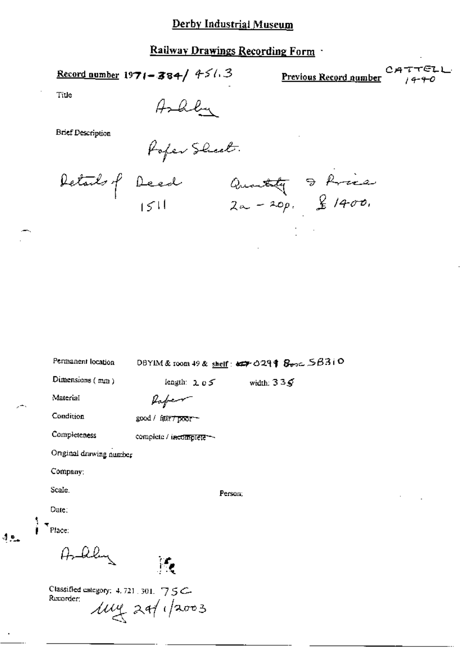### Railway Drawings Recording Form

Record number 1971-384/ 4543

CATTELL Previous Record number

Title

 $4.91$ 

**Brief Description** 

Ashley<br>Poper Sheet.

Details p Deed Quantity & Price<br>1511 2a - 20p. & 1400.

| Permanent location                                | DBYIM & room 49 & shelf: $\exp 0.29$   $\frac{1}{3}$ $\frac{1}{3}$ $\frac{1}{3}$ $\frac{1}{3}$ $\frac{1}{3}$ $\frac{1}{3}$ |
|---------------------------------------------------|----------------------------------------------------------------------------------------------------------------------------|
| Dimensions (mm)                                   | length: 1oS<br>width: $335$                                                                                                |
| Material                                          | Kaper                                                                                                                      |
| Condition                                         | good / fair7poor-                                                                                                          |
| Completeness                                      | complete / incomplete --                                                                                                   |
| Original drawing number                           |                                                                                                                            |
| Company:                                          |                                                                                                                            |
| Scale                                             | Person:                                                                                                                    |
| Date:                                             |                                                                                                                            |
| Place:                                            |                                                                                                                            |
| Askley                                            |                                                                                                                            |
| Classified category: $4.721.301.75C$<br>Recorder: | $\mu$ y 24/1/2003                                                                                                          |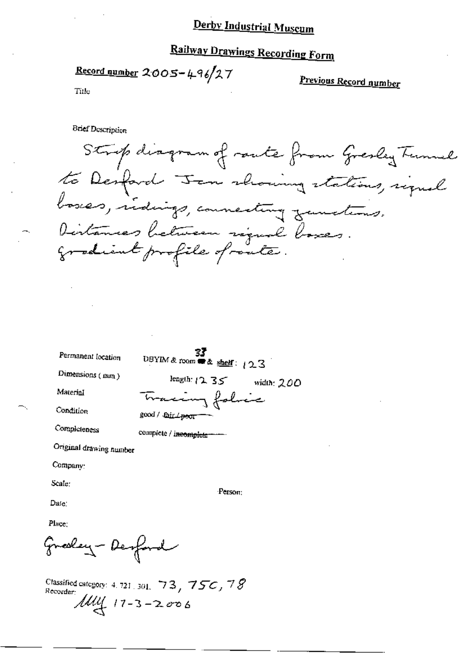# **Railway Drawings Recording Form**

Record number  $2005 - 496/27$ 

Previous Record number

Title

**Brief Description** 

Strip diagram of raute from Gresley Tunnel to Desford Jem showing stations, signal Distances between rigual boxes. gradient profile of route.

Permanent location UBYIM & room  $\stackrel{\bullet}{\bullet}$  & shelf: 123 Dimensions (mm) length:  $12.35$  width: 200 Material Tracing folice Condition good / Jair <del>Jpoor</del> Completeness complete / incomplete -------Original drawing number

Company:

Scale:

Person:

Date:

Place:

Greekey - Desford

Classified category: 4, 721, 301, 73, 750, 78 Recorder:  $1114$  17-3-2006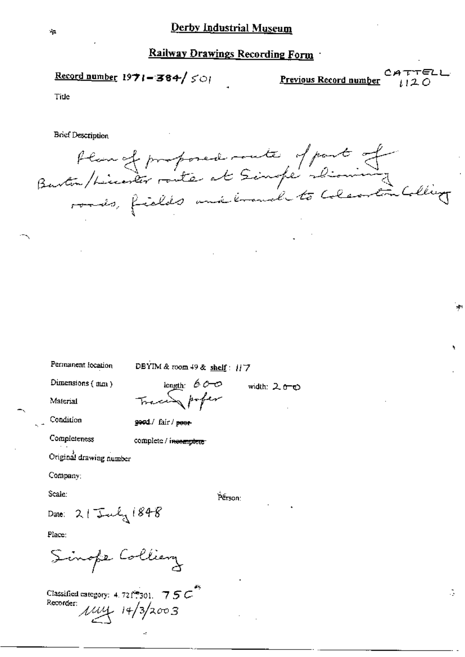Record number  $1971 - 384 / 501$ 

Previous Record number

CATTELL  $1120$ 

G.

Title

**Brief Description** 

flangt proposed route of part of<br>Barton/Licenter route at Simple Dioming<br>roads, fields and krouch to Colearton Colling

Permanent location

DBYIM & room 49 & shelf: 117

Dimensions (mm)

length 600<br>Trace profer

Condition

Material

good/ fair/ poor-

Completeness

complete / incomplete

Original drawing number

Company;

Scale:

Pērson:

width: 2 <del>o-</del>o

Date: 21 July 1848

Place:

Sinope Colliery

Classified category: 4.721-7501. 7.5 $C^*$ Recorder:  $\mu\mu$  14/3/2003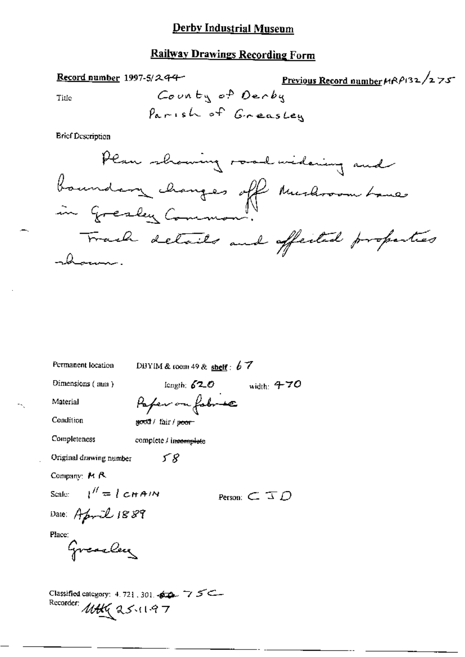### **Railway Drawings Recording Form**

Previous Record number  $\mu$  $\beta$  $\beta$ 132/275 Record number 1997-5/244-County of Derby Title Parish of GreasLey **Brief Description** Plan showing road widering and boundary changes off Mushroom Lane Track details and affected properties -hours. Permanent location DBYIM & room 49 & shelf:  $67$ Dimensions (mm) length;  $62.0$  width:  $470$ Paper on fobr se Material Condition good / fair / poor-

Completeness

complete / incomplete 58

Company: M R

Scale:  $l'' = l \text{CHAIN}$ 

Date: April 1889

Original drawing number

Person:  $\subset \mathcal{ID}$ 

Place:

Greacley

Classified category: 4.721.301.460.75 Recorder: MAKG 25.11.97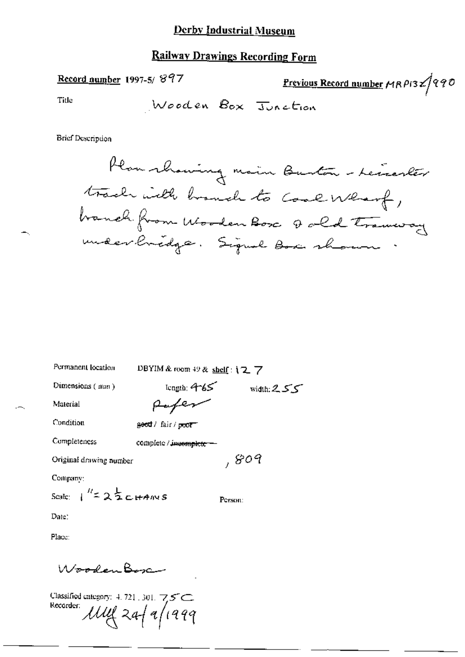### **Railway Drawings Recording Form**

### Record number 1997-5/897

Previous Record number MRP132/990

Title

**Brief Description** 

Plan showing main Burton - Leiserler track with branch to cool Wharf, branch from Wooden Box Q old traveray

width:  $255$ 

 $,809$ 

Person:

Permanent location

DBYIM & room 49 & shelf: 127

Dimensions (mm)

 $length: 465$ Rufer

Condition

Completeness

Material

geod / fair / poor

complete / incomplete -

Original drawing number

Company:

Scale:  $1^{1/2}$  2  $\frac{1}{2}$  c HAINS

Date:

Place:

Wooden Bosc

Classified category:  $4.721$ , 301,  $75$ C Recorder:  $\mathcal{U}\mathcal{U} \mathcal{U}$  2af a/1999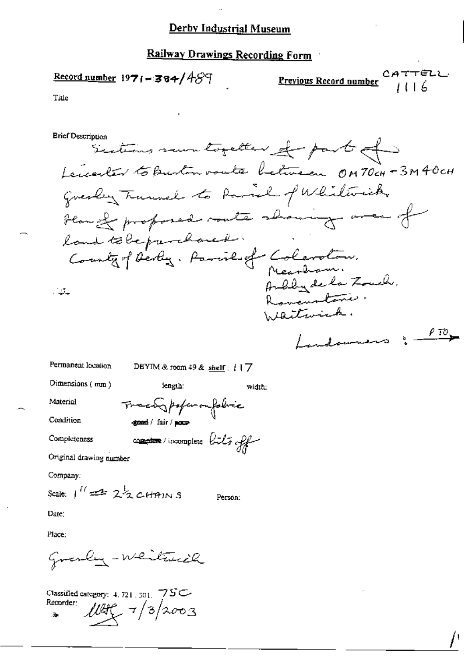Railway Drawings Recording Form

Record number 1971-384/489

CATTELL Previous Record number 1116

Title

**Brief Description** Sections run togetter of part of Lenarler to Burton voute between OM70cH-3M40cH Greatly Trunnel to Parisl of Whiliberick Flam of proposed route showing area of land to be prevehave it. County of Derby. Parish of Coloraton.<br>Meandam.<br>Arbbyde la Zouch.  $\frac{1}{2}$ Romandonie. Waitwick.  $\rho$  to  $\sim$ Landouners :-

Permanent location DBYIM & room 49 & shelf:  $17$ 

change / fair / pour-

Dimensions (mm)

length.

Traca popu on folice

width:

Condition

Material

Completeness

comptere/incomptere bils off

Person.

Original drawing number

Company:

Scale:  $1^{\prime\prime}$  and  $2\frac{1}{2}$  cHAINS

Date:

Place:

Granby-Whitewith

Classified category: 4, 721, 301 75C Recorder;  $100<sup>2</sup>$   $7/3/2003$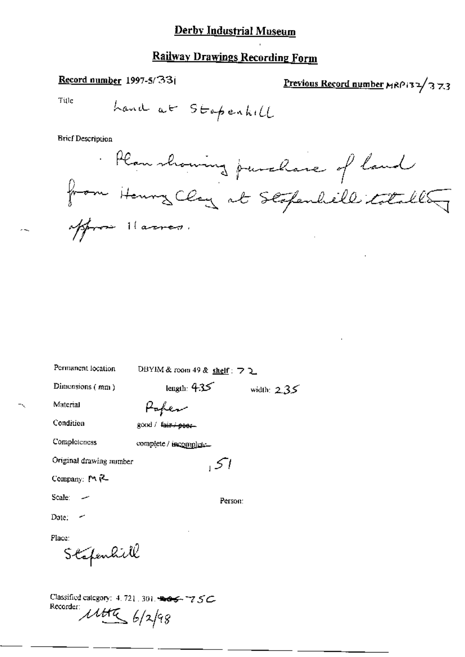### **Railway Drawings Recording Form**

#### Record number 1997-5/331

Previous Record number MRP132/373

Title

**Brief Description** 

Plan showing purchase of land from Henry Clay at Stopenheill totalle offrom Harres.

| Permanent location                | DBYIM & room 49 & shelf: フ ユ |               |
|-----------------------------------|------------------------------|---------------|
| Dimensions $(mn)$                 | length: $4.35$               | width: $2.35$ |
| Material                          |                              |               |
| Condition                         | good / fair / peer           |               |
| Completeness                      | complete / incomplete.       |               |
| Original drawing number           | اك                           |               |
| Company: $M_{\rm H}$ <sup>2</sup> |                              |               |
| Scale: -                          | Person:                      |               |
| Date.                             |                              |               |
| Place:<br>Stafenhill              |                              |               |
|                                   |                              |               |

Classified category: 4, 721, 301, 2005, 77 SC Recorder:  $1145/2/98$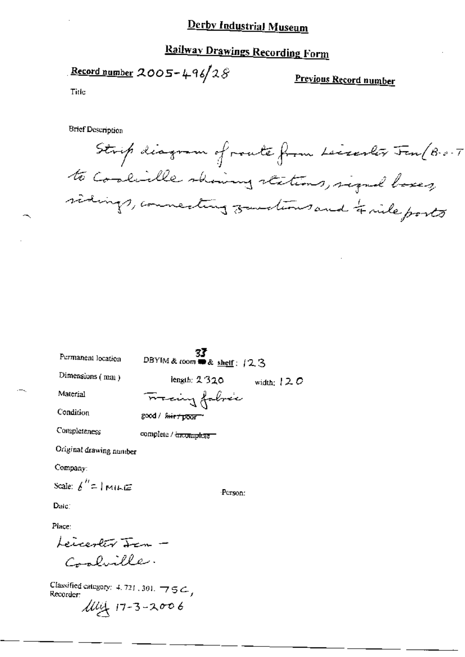## **Railway Drawings Recording Form**

Record number 2005-496/28

Previous Record number

Title

**Brief Description** 

Strip diagram of route from Leiserlos Fen (B-o-T to Coolielle showing stations, signal bases, sidings, connecting zondious and & nile ports

| Permanent location                                                                   | 33<br>DBYIM & room mm & shelf: 123 |              |
|--------------------------------------------------------------------------------------|------------------------------------|--------------|
| Dimensions $(mn)$                                                                    | length: 2320                       | width: $120$ |
| Material                                                                             | Francing fabric                    |              |
| Condition                                                                            | good / fair / poor "               |              |
| Completeness                                                                         | complete / <del>incomplete =</del> |              |
| Original drawing number                                                              |                                    |              |
| $Company$ :                                                                          |                                    |              |
| Scale: $\boldsymbol{\mathit{f}}'' \text{=} \text{I}$ mille $\boldsymbol{\mathit{f}}$ | ·Person·                           |              |
| Datc∴                                                                                |                                    |              |
| Place:                                                                               |                                    |              |
|                                                                                      |                                    |              |
| Leicerler <del>Jen</del> –<br>Coolville                                              |                                    |              |

Classified category: 4, 721, 301,  $\overline{7}$  5  $\overline{6}$ , Recorder:

 $1144 + 17 - 3 - 2006$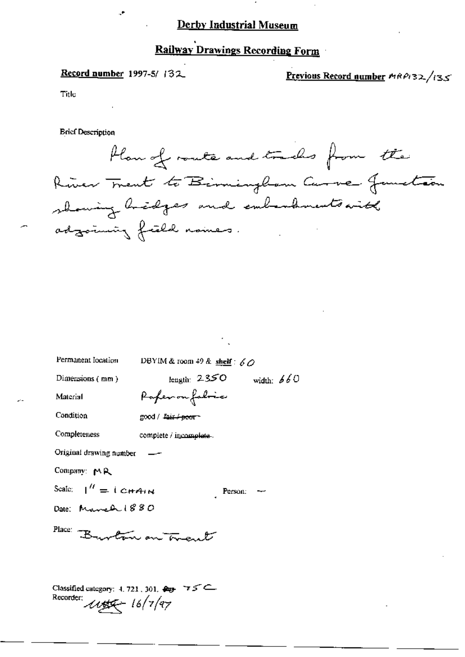## Railway Drawings Recording Form

#### Record number 1997-5/132

 $\mathcal{F}$ 

Previous Record number MRP132/135

Title

**Brief Description** 

Plan of route and tracks from the River Trent to Birmingham Curve Jametin showing hidges and embandments with adzomniz frield nomes.

| Permanent location                         | DBYIM & room 49 & shelf: $60$   |                       |              |  |
|--------------------------------------------|---------------------------------|-----------------------|--------------|--|
| Dimensions (mm)                            | length: $2350$                  |                       | width: $660$ |  |
| Material                                   | Porfer on fabric                |                       |              |  |
| Condition                                  | good / <del>fair / poor -</del> |                       |              |  |
| Completeness                               | complete / incomplete.          |                       |              |  |
| Original drawing number                    |                                 |                       |              |  |
| Company: MR                                |                                 |                       |              |  |
| Scale: $\frac{1}{1}$ = $\frac{1}{2}$ CHAIN |                                 | Person: $\rightarrow$ |              |  |
| Date: March 1880                           |                                 |                       |              |  |
| Place: Burton on Tres                      |                                 |                       |              |  |
|                                            |                                 |                       |              |  |
|                                            |                                 |                       |              |  |

Classified category: 4, 721, 301,  $\bigoplus$  75 C Recorder:  $\mu_{\mathcal{B}} = 16/7/97$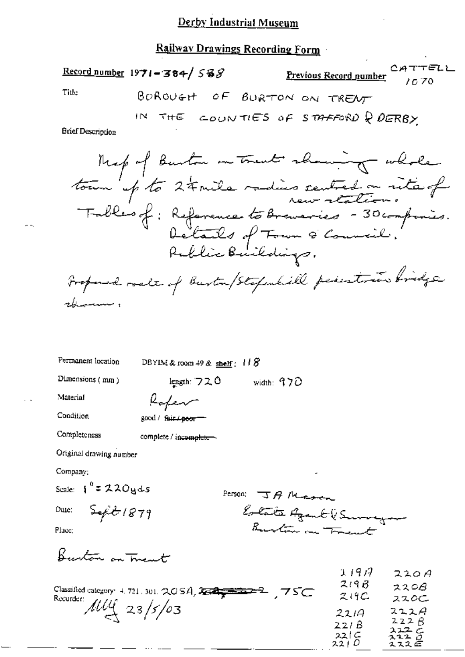### Railway Drawings Recording Form

|                   | Record number $1971 - 384 / 588$ | CATTELL<br><u>Previous Record number</u><br>10.70 |
|-------------------|----------------------------------|---------------------------------------------------|
| Title:            |                                  | BOROVEN OF BURTON ON TRENT                        |
| Brief Description |                                  | IN THE COUNTIES OF STAFFORD Q DERBY               |
|                   |                                  |                                                   |

Map of Burton on trent showing whole<br>town up to 24 mile radius sentred on site of Table's of: Reference to Breveries - 30 compones.<br>Details of Town & Council.<br>Rublic Buildings. Froponed roate of Burton/Stopshill pedestries bridge واستستنسين لجع

width:  $970$ 

Permanent location

DBYIM & room 49 & shelf: 118

length:  $720$ 

Dimensions (mm)

Material

Condition

Completeness

Koker good / fair / poor

complete / incomplete-

Original drawing number

Company:

Scale:  $\int_0^R z 220yds$ 

Date:

 $5 - \frac{2}{5}$ 

Person: JAMERER Estate Agent (Survey Burton on Trent

Place:

Burton on Truent

|                                                      | J. J. 7 17 | <i><b>ALOH</b></i> |
|------------------------------------------------------|------------|--------------------|
| Classified category: $4.721.301.$ $2.0 S.A$ , $2.11$ | 719B       | 2208               |
| Recorder:                                            | 219C       | ススのこ               |
| $11\frac{11}{4}$ 23/5/03                             | 221A       | 222A               |
|                                                      | 22IB       | 222B               |
|                                                      | 22C        | 222c<br>2220       |
|                                                      | 2210       | スススピ               |